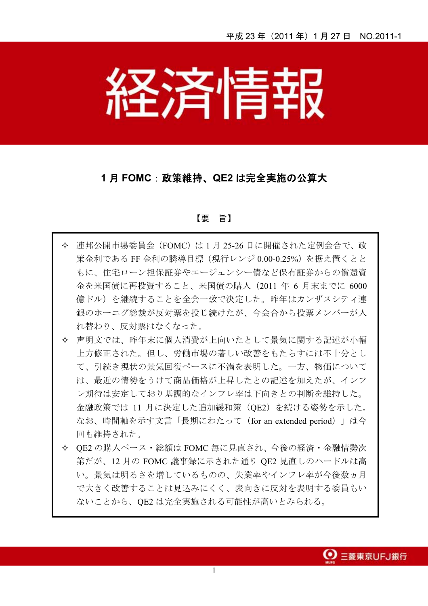

# **1** 月 **FOMC**:政策維持、**QE2** は完全実施の公算大

# 【要 旨】

- 連邦公開市場委員会(FOMC)は 1 月 25-26 日に開催された定例会合で、政 策金利である FF 金利の誘導目標(現行レンジ 0.00-0.25%)を据え置くとと もに、住宅ローン担保証券やエージェンシー債など保有証券からの償還資 金を米国債に再投資すること、米国債の購入(2011 年 6 月末までに 6000 億ドル)を継続することを全会一致で決定した。昨年はカンザスシティ連 銀のホーニグ総裁が反対票を投じ続けたが、今会合から投票メンバーが入 れ替わり、反対票はなくなった。
- 声明文では、昨年末に個人消費が上向いたとして景気に関する記述が小幅 上方修正された。但し、労働市場の著しい改善をもたらすには不十分とし て、引続き現状の景気回復ペースに不満を表明した。一方、物価について は、最近の情勢をうけて商品価格が上昇したとの記述を加えたが、インフ レ期待は安定しており基調的なインフレ率は下向きとの判断を維持した。 金融政策では 11 月に決定した追加緩和策(QE2)を続ける姿勢を示した。 なお、時間軸を示す文言「長期にわたって(for an extended period)」は今 回も維持された。
- ◆ OE2 の購入ペース・総額は FOMC 毎に見直され、今後の経済・金融情勢次 第だが、12 月の FOMC 議事録に示された通り QE2 見直しのハードルは高 い。景気は明るさを増しているものの、失業率やインフレ率が今後数ヵ月 で大きく改善することは見込みにくく、表向きに反対を表明する委員もい ないことから、QE2 は完全実施される可能性が高いとみられる。

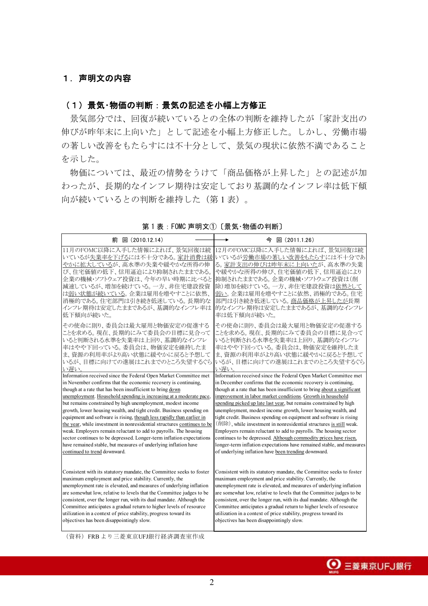### 1.声明文の内容

#### (1)景気・物価の判断:景気の記述を小幅上方修正

景気部分では、回復が続いているとの全体の判断を維持したが「家計支出の 伸びが昨年末に上向いた」として記述を小幅上方修正した。しかし、労働市場 の著しい改善をもたらすには不十分として、景気の現状に依然不満であること を示した。

物価については、最近の情勢をうけて「商品価格が上昇した」との記述が加 わったが、長期的なインフレ期待は安定しており基調的なインフレ率は低下傾 向が続いているとの判断を維持した(第1表)。

| 回 (2010.12.14)<br>莭                                                     | 今 回 (2011.1.26)                                                          |
|-------------------------------------------------------------------------|--------------------------------------------------------------------------|
| 11月のFOMC以降に入手した情報によれば、景気回復は続                                            | 12月のFOMC以降に入手した情報によれば、景気回復は続                                             |
| いているが失業率を下げるには不十分である。家計消費は緩                                             | いているが労働市場の著しい改善をもたらすには不十分であ                                              |
| やかに拡大しているが、高水準の失業や緩やかな所得の伸                                              | る。家計支出の伸びは昨年末に上向いたが、高水準の失業                                               |
| び、住宅価値の低下、信用逼迫により抑制されたままである。                                            | や緩やかな所得の伸び、住宅価値の低下、信用逼迫により                                               |
| 企業の機械・ソフトウェア投資は、今年の早い時期に比べると                                            | 抑制されたままである。企業の機械・ソフトウェア投資は(削                                             |
| 減速しているが、増加を続けている。一方、非住宅建設投資                                             | 除)増加を続けている。一方、非住宅建設投資は依然として                                              |
| は弱い状態が続いている。企業は雇用を増やすことに依然、                                             | 弱い。企業は雇用を増やすことに依然、消極的である。住宅                                              |
| 消極的である。住宅部門は引き続き低迷している。長期的な                                             | 部門は引き続き低迷している。商品価格が上昇したが長期                                               |
| インフレ期待は安定したままであるが、基調的なインフレ率は                                            | 的なインフレ期待は安定したままであるが、基調的なインフレ                                             |
| 低下傾向が続いた。                                                               | 率は低下傾向が続いた。                                                              |
| その使命に則り、委員会は最大雇用と物価安定の促進する                                              | その使命に則り、委員会は最大雇用と物価安定の促進する                                               |
| ことを求める。現在、長期的にみて委員会の目標に見合って                                             | ことを求める。現在、長期的にみて委員会の目標に見合って                                              |
| いると判断される水準を失業率は上回り、基調的なインフレ                                             | いると判断される水準を失業率は上回り、基調的なインフレ                                              |
| 率はやや下回っている。委員会は、物価安定を維持したま                                              | 率はやや下回っている。委員会は、物価安定を維持したま                                               |
| ま、資源の利用率がより高い状態に緩やかに戻ると予想して                                             | ま、資源の利用率がより高い状態に緩やかに戻ると予想して                                              |
| いるが、目標に向けての進展はこれまでのところ失望するぐら                                            | いるが、目標に向けての進展はこれまでのところ失望するぐら                                             |
| い遅い                                                                     | い遅い                                                                      |
| Information received since the Federal Open Market Committee met        | Information received since the Federal Open Market Committee met         |
| in November confirms that the economic recovery is continuing,          | in December confirms that the economic recovery is continuing,           |
| though at a rate that has been insufficient to bring down               | though at a rate that has been insufficient to bring about a significant |
| unemployment. Household spending is increasing at a moderate pace,      | improvement in labor market conditions. Growth in household              |
| but remains constrained by high unemployment, modest income             | spending picked up late last year, but remains constrained by high       |
| growth, lower housing wealth, and tight credit. Business spending on    | unemployment, modest income growth, lower housing wealth, and            |
| equipment and software is rising, though less rapidly than earlier in   | tight credit. Business spending on equipment and software is rising      |
| the year, while investment in nonresidential structures continues to be | (削除), while investment in nonresidential structures is still weak.       |
| weak. Employers remain reluctant to add to payrolls. The housing        | Employers remain reluctant to add to payrolls. The housing sector        |
| sector continues to be depressed. Longer-term inflation expectations    | continues to be depressed. Although commodity prices have risen,         |
| have remained stable, but measures of underlying inflation have         | longer-term inflation expectations have remained stable, and measures    |
| continued to trend downward.                                            | of underlying inflation have been trending downward.                     |
| Consistent with its statutory mandate, the Committee seeks to foster    | Consistent with its statutory mandate, the Committee seeks to foster     |
| maximum employment and price stability. Currently, the                  | maximum employment and price stability. Currently, the                   |
| unemployment rate is elevated, and measures of underlying inflation     | unemployment rate is elevated, and measures of underlying inflation      |
| are somewhat low, relative to levels that the Committee judges to be    | are somewhat low, relative to levels that the Committee judges to be     |
| consistent, over the longer run, with its dual mandate. Although the    | consistent, over the longer run, with its dual mandate. Although the     |
| Committee anticipates a gradual return to higher levels of resource     | Committee anticipates a gradual return to higher levels of resource      |
| utilization in a context of price stability, progress toward its        | utilization in a context of price stability, progress toward its         |
| objectives has been disappointingly slow.                               | objectives has been disappointingly slow.                                |

第 1 表:FOMC 声明文①〔景気・物価の判断〕

(資料)FRB より三菱東京UFJ銀行経済調査室作成

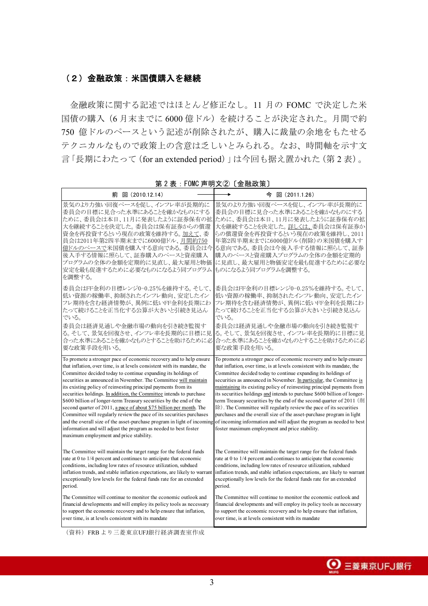## (2)金融政策:米国債購入を継続

金融政策に関する記述ではほとんど修正なし。11 月の FOMC で決定した米 国債の購入(6 月末までに 6000 億ドル)を続けることが決定された。月間で約 750 億ドルのペースという記述が削除されたが、購入に裁量の余地をもたせる テクニカルなもので政策上の含意は乏しいとみられる。なお、時間軸を示す文 言「長期にわたって(for an extended period)」は今回も据え置かれた(第 2 表)。

第 2 表:FOMC 声明文②〔金融政策〕

| 前 回 (2010.12.14)                                                                                                                                                                                                                                                                                                                                                                                                                                                                                                                                                                                                                                                                                                                                                                                                                            | $\Box$ (2011.1.26)                                                                                                                                                                                                                                                                                                                                                                                                                                                                                                                                                                                                                                                                                                                                                                               |
|---------------------------------------------------------------------------------------------------------------------------------------------------------------------------------------------------------------------------------------------------------------------------------------------------------------------------------------------------------------------------------------------------------------------------------------------------------------------------------------------------------------------------------------------------------------------------------------------------------------------------------------------------------------------------------------------------------------------------------------------------------------------------------------------------------------------------------------------|--------------------------------------------------------------------------------------------------------------------------------------------------------------------------------------------------------------------------------------------------------------------------------------------------------------------------------------------------------------------------------------------------------------------------------------------------------------------------------------------------------------------------------------------------------------------------------------------------------------------------------------------------------------------------------------------------------------------------------------------------------------------------------------------------|
| 景気のより力強い回復ペースを促し、インフレ率が長期的に<br>委員会の目標に見合った水準にあることを確かなものにする<br>ために、委員会は本日、11月に発表したように証券保有の拡<br>大を継続することを決定した。委員会は保有証券からの償還<br>資金を再投資するという現在の政策を維持する。 <u>加えて</u> 、委<br>員会は2011年第2四半期末までに6000億ドル、月間約750<br>億ドルのペースで米国債を購入する意向である。委員会は今<br>後入手する情報に照らして、証券購入のペースと資産購入<br>プログラムの全体の金額を定期的に見直し、最大雇用と物価<br>安定を最も促進するために必要なものになるよう同プログラム<br>を調整する。                                                                                                                                                                                                                                                                                                                                                                                                                                                                                                  | 景気のより力強い回復ペースを促し、インフレ率が長期的に<br>委員会の目標に見合った水準にあることを確かなものにする<br>ために、委員会は本日、11月に発表したように証券保有の拡<br>大を継続することを決定した。詳しくは、委員会は保有証券か<br>らの償還資金を再投資するという現在の政策を維持し、2011<br>年第2四半期末までに6000億ドル(削除)の米国債を購入す<br>る意向である。委員会は今後入手する情報に照らして、証券<br>購入のペースと資産購入プログラムの全体の金額を定期的<br>に見直し、最大雇用と物価安定を最も促進するために必要な<br>ものになるよう同プログラムを調整する。                                                                                                                                                                                                                                                                                                                                                                                                                                                                                  |
| 委員会はFF金利の目標レンジ0-0.25%を維持する。そして、                                                                                                                                                                                                                                                                                                                                                                                                                                                                                                                                                                                                                                                                                                                                                                                                             | 委員会はFF金利の目標レンジ0-0.25%を維持する。そして、                                                                                                                                                                                                                                                                                                                                                                                                                                                                                                                                                                                                                                                                                                                                                                  |
| 低い資源の稼働率、抑制されたインフレ動向、安定したイン                                                                                                                                                                                                                                                                                                                                                                                                                                                                                                                                                                                                                                                                                                                                                                                                                 | 低い資源の稼働率、抑制されたインフレ動向、安定したイン                                                                                                                                                                                                                                                                                                                                                                                                                                                                                                                                                                                                                                                                                                                                                                      |
| フレ期待を含む経済情勢が、異例に低いFF金利を長期にわ                                                                                                                                                                                                                                                                                                                                                                                                                                                                                                                                                                                                                                                                                                                                                                                                                 | フレ期待を含む経済情勢が、異例に低いFF金利を長期にわ                                                                                                                                                                                                                                                                                                                                                                                                                                                                                                                                                                                                                                                                                                                                                                      |
| たって続けることを正当化する公算が大きいと引続き見込ん                                                                                                                                                                                                                                                                                                                                                                                                                                                                                                                                                                                                                                                                                                                                                                                                                 | たって続けることを正当化する公算が大きいと引続き見込ん                                                                                                                                                                                                                                                                                                                                                                                                                                                                                                                                                                                                                                                                                                                                                                      |
| でいる。                                                                                                                                                                                                                                                                                                                                                                                                                                                                                                                                                                                                                                                                                                                                                                                                                                        | でいる。                                                                                                                                                                                                                                                                                                                                                                                                                                                                                                                                                                                                                                                                                                                                                                                             |
| 委員会は経済見通しや金融市場の動向を引き続き監視す                                                                                                                                                                                                                                                                                                                                                                                                                                                                                                                                                                                                                                                                                                                                                                                                                   | 委員会は経済見通しや金融市場の動向を引き続き監視す                                                                                                                                                                                                                                                                                                                                                                                                                                                                                                                                                                                                                                                                                                                                                                        |
| る。そして、景気を回復させ、インフレ率を長期的に目標に見                                                                                                                                                                                                                                                                                                                                                                                                                                                                                                                                                                                                                                                                                                                                                                                                                | る。そして、景気を回復させ、インフレ率を長期的に目標に見                                                                                                                                                                                                                                                                                                                                                                                                                                                                                                                                                                                                                                                                                                                                                                     |
| 合った水準にあることを確かなものとすることを助けるために必                                                                                                                                                                                                                                                                                                                                                                                                                                                                                                                                                                                                                                                                                                                                                                                                               | 合った水準にあることを確かなものとすることを助けるために必                                                                                                                                                                                                                                                                                                                                                                                                                                                                                                                                                                                                                                                                                                                                                                    |
| 要な政策手段を用いる。                                                                                                                                                                                                                                                                                                                                                                                                                                                                                                                                                                                                                                                                                                                                                                                                                                 | 要な政策手段を用いる。                                                                                                                                                                                                                                                                                                                                                                                                                                                                                                                                                                                                                                                                                                                                                                                      |
| To promote a stronger pace of economic recovery and to help ensure<br>that inflation, over time, is at levels consistent with its mandate, the<br>Committee decided today to continue expanding its holdings of<br>securities as announced in November. The Committee will maintain<br>its existing policy of reinvesting principal payments from its<br>securities holdings. In addition, the Committee intends to purchase<br>\$600 billion of longer-term Treasury securities by the end of the<br>second quarter of 2011, a pace of about \$75 billion per month. The<br>Committee will regularly review the pace of its securities purchases<br>and the overall size of the asset-purchase program in light of incoming<br>information and will adjust the program as needed to best foster<br>maximum employment and price stability. | To promote a stronger pace of economic recovery and to help ensure<br>that inflation, over time, is at levels consistent with its mandate, the<br>Committee decided today to continue expanding its holdings of<br>securities as announced in November. In particular, the Committee is<br>maintaining its existing policy of reinvesting principal payments from<br>its securities holdings and intends to purchase \$600 billion of longer-<br>term Treasury securities by the end of the second quarter of 2011 (削)<br>除). The Committee will regularly review the pace of its securities<br>purchases and the overall size of the asset-purchase program in light<br>of incoming information and will adjust the program as needed to best<br>foster maximum employment and price stability. |
| The Committee will maintain the target range for the federal funds                                                                                                                                                                                                                                                                                                                                                                                                                                                                                                                                                                                                                                                                                                                                                                          | The Committee will maintain the target range for the federal funds                                                                                                                                                                                                                                                                                                                                                                                                                                                                                                                                                                                                                                                                                                                               |
| rate at 0 to $1/4$ percent and continues to anticipate that economic                                                                                                                                                                                                                                                                                                                                                                                                                                                                                                                                                                                                                                                                                                                                                                        | rate at 0 to 1/4 percent and continues to anticipate that economic                                                                                                                                                                                                                                                                                                                                                                                                                                                                                                                                                                                                                                                                                                                               |
| conditions, including low rates of resource utilization, subdued                                                                                                                                                                                                                                                                                                                                                                                                                                                                                                                                                                                                                                                                                                                                                                            | conditions, including low rates of resource utilization, subdued                                                                                                                                                                                                                                                                                                                                                                                                                                                                                                                                                                                                                                                                                                                                 |
| inflation trends, and stable inflation expectations, are likely to warrant                                                                                                                                                                                                                                                                                                                                                                                                                                                                                                                                                                                                                                                                                                                                                                  | inflation trends, and stable inflation expectations, are likely to warrant                                                                                                                                                                                                                                                                                                                                                                                                                                                                                                                                                                                                                                                                                                                       |
| exceptionally low levels for the federal funds rate for an extended                                                                                                                                                                                                                                                                                                                                                                                                                                                                                                                                                                                                                                                                                                                                                                         | exceptionally low levels for the federal funds rate for an extended                                                                                                                                                                                                                                                                                                                                                                                                                                                                                                                                                                                                                                                                                                                              |
| period.                                                                                                                                                                                                                                                                                                                                                                                                                                                                                                                                                                                                                                                                                                                                                                                                                                     | period.                                                                                                                                                                                                                                                                                                                                                                                                                                                                                                                                                                                                                                                                                                                                                                                          |
| The Committee will continue to monitor the economic outlook and                                                                                                                                                                                                                                                                                                                                                                                                                                                                                                                                                                                                                                                                                                                                                                             | The Committee will continue to monitor the economic outlook and                                                                                                                                                                                                                                                                                                                                                                                                                                                                                                                                                                                                                                                                                                                                  |
| financial developments and will employ its policy tools as necessary                                                                                                                                                                                                                                                                                                                                                                                                                                                                                                                                                                                                                                                                                                                                                                        | financial developments and will employ its policy tools as necessary                                                                                                                                                                                                                                                                                                                                                                                                                                                                                                                                                                                                                                                                                                                             |
| to support the economic recovery and to help ensure that inflation,                                                                                                                                                                                                                                                                                                                                                                                                                                                                                                                                                                                                                                                                                                                                                                         | to support the economic recovery and to help ensure that inflation,                                                                                                                                                                                                                                                                                                                                                                                                                                                                                                                                                                                                                                                                                                                              |
| over time, is at levels consistent with its mandate                                                                                                                                                                                                                                                                                                                                                                                                                                                                                                                                                                                                                                                                                                                                                                                         | over time, is at levels consistent with its mandate                                                                                                                                                                                                                                                                                                                                                                                                                                                                                                                                                                                                                                                                                                                                              |

(資料)FRB より三菱東京UFJ銀行経済調査室作成

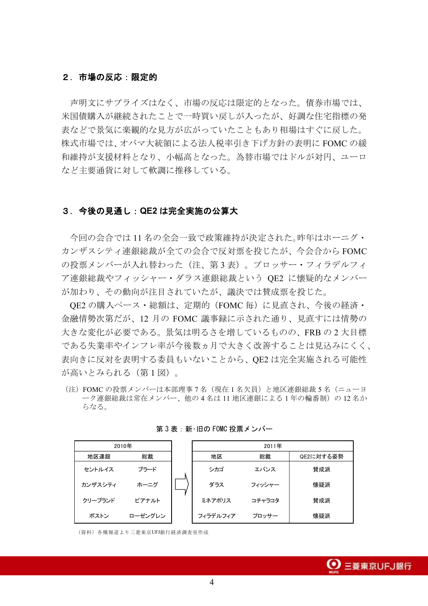#### 2.市場の反応:限定的

声明文にサプライズはなく、市場の反応は限定的となった。債券市場では、 米国債購入が継続されたことで一時買い戻しが入ったが、好調な住宅指標の発 表などで景気に楽観的な見方が広がっていたこともあり相場はすぐに戻した。 株式市場では、オバマ大統領による法人税率引き下げ方針の表明に FOMC の緩 和維持が支援材料となり、小幅高となった。為替市場ではドルが対円、ユーロ など主要通貨に対して軟調に推移している。

#### 3.今後の見通し:**QE2** は完全実施の公算大

今回の会合では 11 名の全会一致で政策維持が決定された。昨年はホーニグ・ カンザスシティ連銀総裁が全ての会合で反対票を投じたが、今会合から FOMC の投票メンバーが入れ替わった(注、第3表)。プロッサー・フィラデルフィ ア連銀総裁やフィッシャー・ダラス連銀総裁という QE2 に懐疑的なメンバー が加わり、その動向が注目されていたが、議決では賛成票を投じた。

QE2 の購入ペース・総額は、定期的(FOMC 毎)に見直され、今後の経済・ 金融情勢次第だが、12 月の FOMC 議事録に示された通り、見直すには情勢の 大きな変化が必要である。景気は明るさを増しているものの、FRB の 2 大目標 である失業率やインフレ率が今後数ヵ月で大きく改善することは見込みにくく、 表向きに反対を表明する委員もいないことから、QE2 は完全実施される可能性 が高いとみられる(第1図)。

(注)FOMC の投票メンバーは本部理事 7 名(現在 1 名欠員)と地区連銀総裁 5 名(ニューヨ ーク連銀総裁は常在メンバー、他の4名は11地区連銀による1年の輪番制)の12名か らなる。

|         | 2010年   | 2011年    |        |           |
|---------|---------|----------|--------|-----------|
| 地区連銀    | 総裁      | 地区       | 総裁     | QE2に対する姿勢 |
| セントルイス  | ブラード    | シカゴ      | エバンス   | 替成派       |
| カンザスシティ | ホーニグ    | ダラス      | フィッシャー | 懐疑派       |
| クリーブランド | ピアナルト   | ミネアポリス   | コチャラコタ | 替成派       |
| ボストン    | ローゼングレン | フィラデルフィア | プロッサー  | 懐疑派       |

第 3 表:新・旧の FOMC 投票メンバー

(資料)各種報道より三菱東京UFJ銀行経済調査室作成